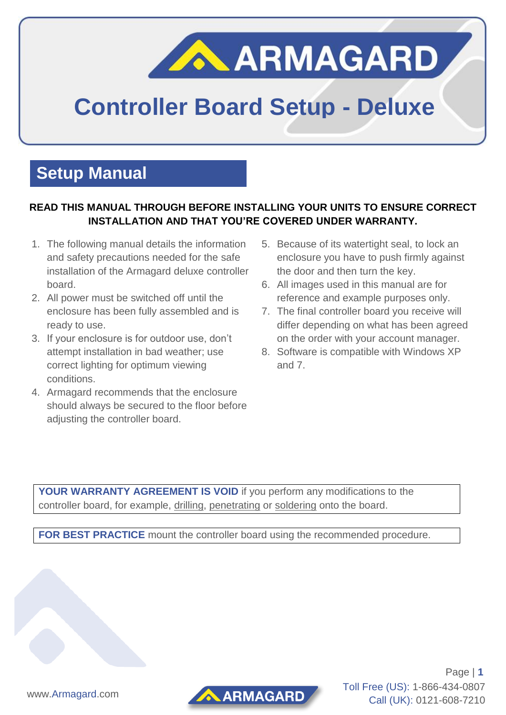# ARMAGARD

## **Controller Board Setup - Deluxe**

### **Setup Manual**

#### **READ THIS MANUAL THROUGH BEFORE INSTALLING YOUR UNITS TO ENSURE CORRECT INSTALLATION AND THAT YOU'RE COVERED UNDER WARRANTY.**

- 1. The following manual details the information and safety precautions needed for the safe installation of the Armagard deluxe controller board.
- 2. All power must be switched off until the enclosure has been fully assembled and is ready to use.
- 3. If your enclosure is for outdoor use, don't attempt installation in bad weather; use correct lighting for optimum viewing conditions.
- 4. Armagard recommends that the enclosure should always be secured to the floor before adjusting the controller board.
- 5. Because of its watertight seal, to lock an enclosure you have to push firmly against the door and then turn the key.
- 6. All images used in this manual are for reference and example purposes only.
- 7. The final controller board you receive will differ depending on what has been agreed on the order with your account manager.
- 8. Software is compatible with Windows XP and 7.

**YOUR WARRANTY AGREEMENT IS VOID** if you perform any modifications to the controller board, for example, drilling, penetrating or soldering onto the board.

**FOR BEST PRACTICE** mount the controller board using the recommended procedure.

www.Armagard.com



Page | **1** Toll Free (US): 1-866-434-0807 Call (UK): 0121-608-7210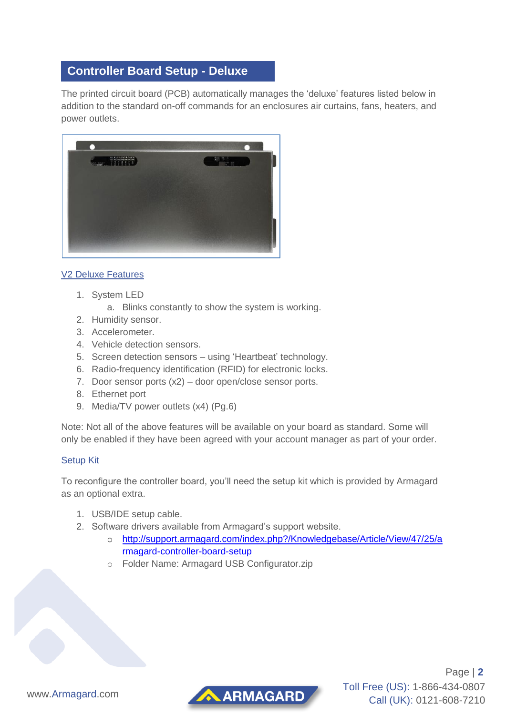#### **Controller Board Setup - Deluxe**

The printed circuit board (PCB) automatically manages the 'deluxe' features listed below in addition to the standard on-off commands for an enclosures air curtains, fans, heaters, and power outlets.



#### V2 Deluxe Features

- 1. System LED
	- a. Blinks constantly to show the system is working.
- 2. Humidity sensor.
- 3. Accelerometer.
- 4. Vehicle detection sensors.
- 5. Screen detection sensors using 'Heartbeat' technology.
- 6. Radio-frequency identification (RFID) for electronic locks.
- 7. Door sensor ports (x2) door open/close sensor ports.
- 8. Ethernet port
- 9. Media/TV power outlets (x4) (Pg.6)

Note: Not all of the above features will be available on your board as standard. Some will only be enabled if they have been agreed with your account manager as part of your order.

#### Setup Kit

To reconfigure the controller board, you'll need the setup kit which is provided by Armagard as an optional extra.

AARMAGARD

- 1. USB/IDE setup cable.
- 2. Software drivers available from Armagard's support website.
	- o [http://support.armagard.com/index.php?/Knowledgebase/Article/View/47/25/a](http://support.armagard.com/index.php?/Knowledgebase/Article/View/47/25/armagard-controller-board-setup) [rmagard-controller-board-setup](http://support.armagard.com/index.php?/Knowledgebase/Article/View/47/25/armagard-controller-board-setup)
	- o Folder Name: Armagard USB Configurator.zip

Page | **2** Toll Free (US): 1-866-434-0807 Call (UK): 0121-608-7210

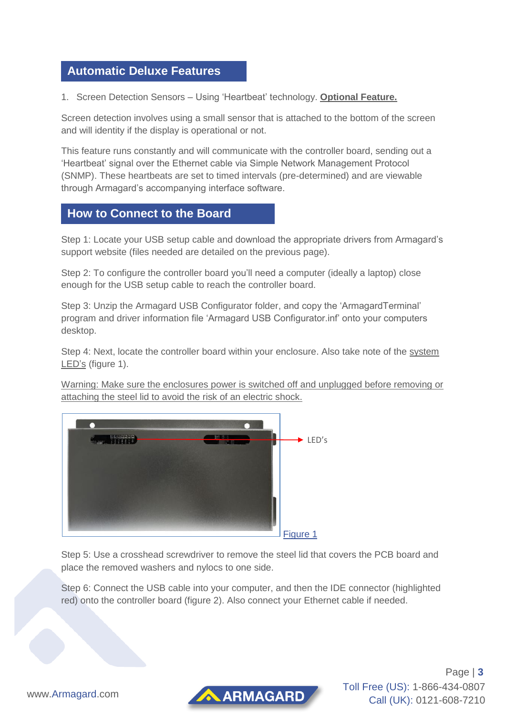#### **Automatic Deluxe Features**

1. Screen Detection Sensors – Using 'Heartbeat' technology. **Optional Feature.**

Screen detection involves using a small sensor that is attached to the bottom of the screen and will identity if the display is operational or not.

This feature runs constantly and will communicate with the controller board, sending out a 'Heartbeat' signal over the Ethernet cable via Simple Network Management Protocol (SNMP). These heartbeats are set to timed intervals (pre-determined) and are viewable through Armagard's accompanying interface software.

#### **How to Connect to the Board**

Step 1: Locate your USB setup cable and download the appropriate drivers from Armagard's support website (files needed are detailed on the previous page).

Step 2: To configure the controller board you'll need a computer (ideally a laptop) close enough for the USB setup cable to reach the controller board.

Step 3: Unzip the Armagard USB Configurator folder, and copy the 'ArmagardTerminal' program and driver information file 'Armagard USB Configurator.inf' onto your computers desktop.

Step 4: Next, locate the controller board within your enclosure. Also take note of the system LED's (figure 1).

Warning: Make sure the enclosures power is switched off and unplugged before removing or attaching the steel lid to avoid the risk of an electric shock.



Step 5: Use a crosshead screwdriver to remove the steel lid that covers the PCB board and place the removed washers and nylocs to one side.

Step 6: Connect the USB cable into your computer, and then the IDE connector (highlighted red) onto the controller board (figure 2). Also connect your Ethernet cable if needed.

Page | **3** Toll Free (US): 1-866-434-0807 Call (UK): 0121-608-7210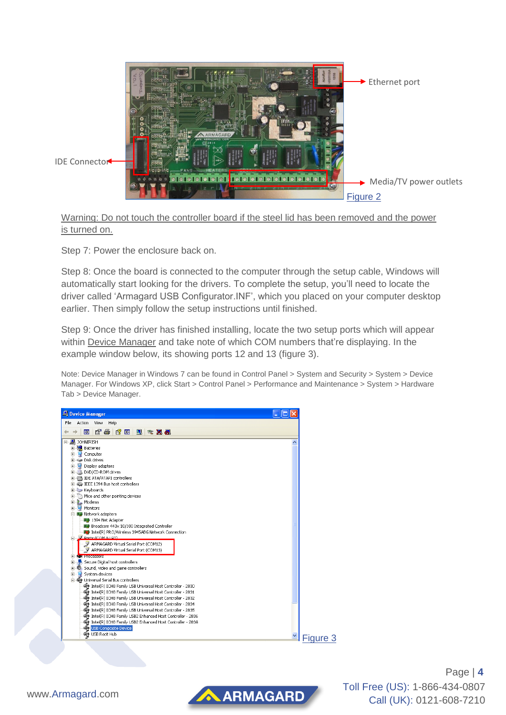

Warning: Do not touch the controller board if the steel lid has been removed and the power is turned on.

Step 7: Power the enclosure back on.

Step 8: Once the board is connected to the computer through the setup cable, Windows will automatically start looking for the drivers. To complete the setup, you'll need to locate the driver called 'Armagard USB Configurator.INF', which you placed on your computer desktop earlier. Then simply follow the setup instructions until finished.

Step 9: Once the driver has finished installing, locate the two setup ports which will appear within Device Manager and take note of which COM numbers that're displaying. In the example window below, its showing ports 12 and 13 (figure 3).

Note: Device Manager in Windows 7 can be found in Control Panel > System and Security > System > Device Manager. For Windows XP, click Start > Control Panel > Performance and Maintenance > System > Hardware Tab > Device Manager.

AARMAGARD



Page | **4** Toll Free (US): 1-866-434-0807 Call (UK): 0121-608-7210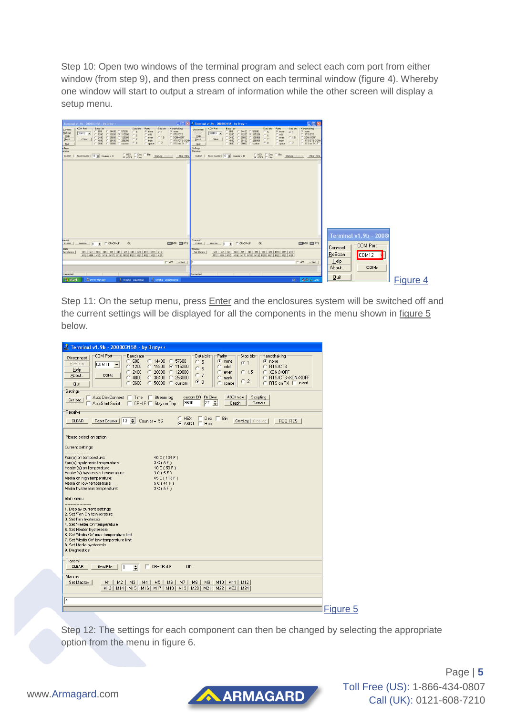Step 10: Open two windows of the terminal program and select each com port from either window (from step 9), and then press connect on each terminal window (figure 4). Whereby one window will start to output a stream of information while the other screen will display a setup menu.



Step 11: On the setup menu, press **Enter** and the enclosures system will be switched off and the current settings will be displayed for all the components in the menu shown in figure 5 below.

| $\frac{3}{2}$ Terminal v1.9b - 20080315ß - by Br@y++                                                                                                                                                                                                                                                                                                                                                                                                                                                                                                                                                                                          |          |
|-----------------------------------------------------------------------------------------------------------------------------------------------------------------------------------------------------------------------------------------------------------------------------------------------------------------------------------------------------------------------------------------------------------------------------------------------------------------------------------------------------------------------------------------------------------------------------------------------------------------------------------------------|----------|
| COM Port<br>Handshaking<br>Baud rate<br>Data bits<br>Parity<br>Stop bits<br>Disconnect<br>600<br>$C$ 14400 $C$ 57600<br>o<br>$\epsilon$ none<br>$\binom{2}{1}$ none<br>C.5<br>G <sub>1</sub><br>ReScan<br>COM11<br>$\blacktriangledown$<br>RTS/CTS<br>O<br>1200<br>○ 19200 ● 115200<br>с<br>odd<br>c<br>6<br>Help<br>XON/XOFF<br>O<br>2400<br>$C$ 28800<br>$C$ 128000<br>$C$ 1.5<br>C<br>even<br>C<br>C <sub>7</sub><br>About<br>COMs<br>4800<br>$\sigma$<br>38400<br>256000<br>RTS/CTS+X0N/X0FF<br>C<br>C<br>$\subset$<br>mark<br>C <sub>2</sub><br>G.8<br>C 56000 C custom<br>RTS on $TX \square$ invert<br>O<br>9600<br>C<br>space<br>Quit |          |
| Settings<br>□ Auto Dis/Connect □ Time □ Stream log<br>custom BR Rx Clear<br>ASCII table<br>Scripting<br>Set font<br>27<br>÷<br>9600<br>AutoStart Script   CR=LF   Stay on Top<br>Graph<br>Remote                                                                                                                                                                                                                                                                                                                                                                                                                                              |          |
| Receive<br>C HEX   Dec   Bin<br>Reset Counter   13 Counter = 56<br>StartLog StopLog<br>CLEAR<br>REQ RES<br>$G$ ASCII $\Box$ Hex                                                                                                                                                                                                                                                                                                                                                                                                                                                                                                               |          |
| Please select an option:<br>Current settings                                                                                                                                                                                                                                                                                                                                                                                                                                                                                                                                                                                                  |          |
| 40 C (104 F)<br>Fan(s) on temperature:<br>Fan(s) hysteresis temperature:<br>3C(5F)<br>Heater(s) on temperature:<br>10 C(50 F)<br>Heater(s) hysteresis temperature:<br>3C(5F)<br>Media on high temperature:<br>45 C (113 F)<br>Media on low temperature:<br>5C(41F)<br>Media hysteresis temperature:<br>3C(5F)<br>Main menu<br>1. Display current settings<br>2. Set 'Fan On' temperature<br>3. Set Fan hystersis<br>4. Set 'Heater On' temperature                                                                                                                                                                                            |          |
| 5. Set Heater hysteresis<br>6. Set 'Media On' max temperature limit<br>7. Set 'Media On' low temperature limit<br>8. Set Media hysteresis<br>9. Diagnostics                                                                                                                                                                                                                                                                                                                                                                                                                                                                                   |          |
| Transmit<br>CR=CR+LF<br><b>OK</b><br><b>CLEAR</b><br>Send File<br>÷<br>п<br>l0                                                                                                                                                                                                                                                                                                                                                                                                                                                                                                                                                                |          |
| Macros<br>Set Macros<br>M1<br>M <sub>2</sub><br>M3<br>M4<br>M <sub>5</sub><br>M6<br>M7<br>M8<br>M9<br>M10 M11 M12<br>M13   M14  <br>M <sub>15</sub><br>M <sub>16</sub><br>M17   M18  <br>M19<br>M20<br>M21<br>M22   M23  <br>M24                                                                                                                                                                                                                                                                                                                                                                                                              |          |
| 4                                                                                                                                                                                                                                                                                                                                                                                                                                                                                                                                                                                                                                             |          |
|                                                                                                                                                                                                                                                                                                                                                                                                                                                                                                                                                                                                                                               | Figure 5 |

Step 12: The settings for each component can then be changed by selecting the appropriate option from the menu in figure 6.





Page | **5** Toll Free (US): 1-866-434-0807 Call (UK): 0121-608-7210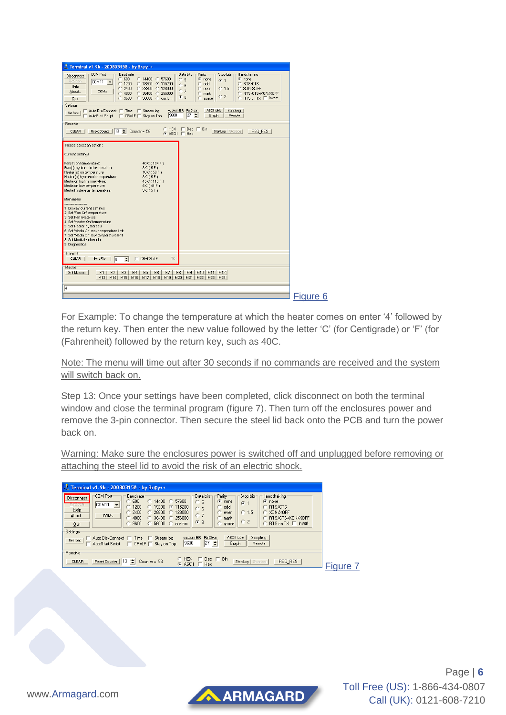| COM Port<br>Parity<br>Handshaking<br>Baud rate<br>Data bits<br>Stop bits<br>Disconnect<br>600<br>57600<br>$C$ 14400 $C$<br>$\sqrt{\bullet}$ none<br>$\binom{2}{1}$ none<br>с<br>C.5<br>$G - 1$<br>ReScan<br>COM <sub>11</sub><br>$\overline{\phantom{a}}$<br>1200<br>C<br>○ 19200 ○ 115200<br>C.<br>C RTS/CTS<br>odd<br>C.6<br>Help<br>2400<br>$\subset$<br>@1.5<br>C XON/XOFF<br>C<br>28800<br>128000<br>C<br>-C<br>even<br>C <sub>7</sub><br>COMs<br>About.<br>4800<br>C BTS/CTS+XON/XOFF<br>38400<br>256000<br>C<br>C<br>$\sigma$<br>-C<br>mark<br>C <sub>2</sub><br>G.8<br>9600<br>$\sigma$<br>$56000 \quad C$<br>C RTS on TX □ invert<br>C<br>custom<br>C<br>space<br>Quit<br>Settings<br>custom BR Rx Clear<br><b>ASCII table</b><br>Scripting<br>Auto Dis/Connect   Time   Stream log<br>Set font<br>9600<br>$27 \div$<br>AutoStart Script<br>□ CR=LF □ Stav on Top<br>Graph<br>Remote<br>Receive<br>C HEX   Dec   Bin<br>Reset Counter   13<br>Counter = $56$<br>REO RES<br><b>CLEAR</b><br>StartLog   StopLog  <br>$C$ ASCII $\Box$ Hex<br>Please select an option:<br>Current settings<br>Fan(s) on temperature:<br>40 C (104 F)<br>Fan(s) hysteresis temperature:<br>3C(5F)<br>Heater(s) on temperature:<br>10 C (50 F)<br>Heater(s) hysteresis temperature:<br>3C(5F)<br>Media on high temperature:<br>45 C (113 F)<br>Media on low temperature:<br>5C(41F)<br>Media hysteresis temperature:<br>3C(5F)<br>Main menu<br>1. Display current settings<br>2. Set 'Fan On' temperature<br>3. Set Fan hystersis<br>4. Set 'Heater On' temperature<br>5. Set Heater hysteresis<br>6. Set 'Media On' max temperature limit<br>7. Set 'Media On' low temperature limit<br>8. Set Media hysteresis<br>9. Diagnostics<br>Transmit<br>$\Box$ CR=CR+LF<br><b>OK</b><br>CLEAR<br>Send File<br>÷<br>$\sqrt{0}$<br>Macros<br>Set Macros<br>M <sub>2</sub><br>M <sub>3</sub><br>M <sub>5</sub><br>M <sub>6</sub><br>M7<br>M8<br>M <sub>9</sub><br>M10 M11 M12<br>M1<br>M4<br>M15<br>M16<br>M14<br>M17<br>M18<br>M19<br>M20<br>M21<br>M22   M23  <br>M13<br>M24<br>$\sqrt{4}$ | Terminal v1.9b - 200803156 - by Br@y++ |          |
|-------------------------------------------------------------------------------------------------------------------------------------------------------------------------------------------------------------------------------------------------------------------------------------------------------------------------------------------------------------------------------------------------------------------------------------------------------------------------------------------------------------------------------------------------------------------------------------------------------------------------------------------------------------------------------------------------------------------------------------------------------------------------------------------------------------------------------------------------------------------------------------------------------------------------------------------------------------------------------------------------------------------------------------------------------------------------------------------------------------------------------------------------------------------------------------------------------------------------------------------------------------------------------------------------------------------------------------------------------------------------------------------------------------------------------------------------------------------------------------------------------------------------------------------------------------------------------------------------------------------------------------------------------------------------------------------------------------------------------------------------------------------------------------------------------------------------------------------------------------------------------------------------------------------------------------------------------------------------------------------------------------------------------------------------------------------------|----------------------------------------|----------|
|                                                                                                                                                                                                                                                                                                                                                                                                                                                                                                                                                                                                                                                                                                                                                                                                                                                                                                                                                                                                                                                                                                                                                                                                                                                                                                                                                                                                                                                                                                                                                                                                                                                                                                                                                                                                                                                                                                                                                                                                                                                                         |                                        |          |
|                                                                                                                                                                                                                                                                                                                                                                                                                                                                                                                                                                                                                                                                                                                                                                                                                                                                                                                                                                                                                                                                                                                                                                                                                                                                                                                                                                                                                                                                                                                                                                                                                                                                                                                                                                                                                                                                                                                                                                                                                                                                         |                                        |          |
|                                                                                                                                                                                                                                                                                                                                                                                                                                                                                                                                                                                                                                                                                                                                                                                                                                                                                                                                                                                                                                                                                                                                                                                                                                                                                                                                                                                                                                                                                                                                                                                                                                                                                                                                                                                                                                                                                                                                                                                                                                                                         |                                        |          |
|                                                                                                                                                                                                                                                                                                                                                                                                                                                                                                                                                                                                                                                                                                                                                                                                                                                                                                                                                                                                                                                                                                                                                                                                                                                                                                                                                                                                                                                                                                                                                                                                                                                                                                                                                                                                                                                                                                                                                                                                                                                                         |                                        |          |
|                                                                                                                                                                                                                                                                                                                                                                                                                                                                                                                                                                                                                                                                                                                                                                                                                                                                                                                                                                                                                                                                                                                                                                                                                                                                                                                                                                                                                                                                                                                                                                                                                                                                                                                                                                                                                                                                                                                                                                                                                                                                         |                                        |          |
|                                                                                                                                                                                                                                                                                                                                                                                                                                                                                                                                                                                                                                                                                                                                                                                                                                                                                                                                                                                                                                                                                                                                                                                                                                                                                                                                                                                                                                                                                                                                                                                                                                                                                                                                                                                                                                                                                                                                                                                                                                                                         |                                        |          |
|                                                                                                                                                                                                                                                                                                                                                                                                                                                                                                                                                                                                                                                                                                                                                                                                                                                                                                                                                                                                                                                                                                                                                                                                                                                                                                                                                                                                                                                                                                                                                                                                                                                                                                                                                                                                                                                                                                                                                                                                                                                                         |                                        | Figure 6 |

For Example: To change the temperature at which the heater comes on enter '4' followed by the return key. Then enter the new value followed by the letter 'C' (for Centigrade) or 'F' (for (Fahrenheit) followed by the return key, such as 40C.

Note: The menu will time out after 30 seconds if no commands are received and the system will switch back on.

Step 13: Once your settings have been completed, click disconnect on both the terminal window and close the terminal program (figure 7). Then turn off the enclosures power and remove the 3-pin connector. Then secure the steel lid back onto the PCB and turn the power back on.

Warning: Make sure the enclosures power is switched off and unplugged before removing or attaching the steel lid to avoid the risk of an electric shock.

AARMAGARD

| Terminal v1.9b - 200803156 - by Br@y++                                                                                                                                                                                                                                                                                   |                                                                                                                                                                                                                                                            |
|--------------------------------------------------------------------------------------------------------------------------------------------------------------------------------------------------------------------------------------------------------------------------------------------------------------------------|------------------------------------------------------------------------------------------------------------------------------------------------------------------------------------------------------------------------------------------------------------|
| COM Port<br>Baud rate<br>Disconnect<br>600<br>$\degree$ 14400<br>57600<br><b>C</b><br>COM <sub>11</sub><br>$\blacktriangledown$<br><b>THESPECIAL</b><br>1200<br>$G$ 115200<br>ි 19200<br>$He$ lp<br>2400<br>28800<br>128000<br>COMs<br>About<br>256000<br>4800<br>38400<br>9600<br>56000<br>C custom<br>Quit<br>Settings | Handshaking<br>Data bits<br>Parity:<br>Stop bits<br>G.<br>$\epsilon$ none<br>none<br>C.5<br>$G$ 1<br>RTS/CTS<br>odd<br>$C_6$<br>XON/XOFF<br>$C$ 1.5<br>even<br>0.7<br>RTS/CTS+X0N/X0FF<br>mark<br>C <sub>2</sub><br>G8<br>RTS on TX $\Box$ invert<br>space |
| Auto Dis/Connect<br>Stream log<br>$Time$ $\Box$<br>Set font<br>$CR=LF$<br>Stay on Top<br>AutoStart Script                                                                                                                                                                                                                | Scripting<br>ASCII table<br>custom BR Rx Clear<br>$ 27 + $<br>9600<br>Graph<br>Remote                                                                                                                                                                      |
| Receive<br>13<br>÷<br>Counter = $56$<br><b>Reset Counter</b><br><b>CLEAR</b>                                                                                                                                                                                                                                             | <b>HEX</b><br><b>Bin</b><br>Dec.<br>StartLog StopLog<br>REQ RES<br>G ASCIL<br><b>Hex</b>                                                                                                                                                                   |

Page | **6** Toll Free (US): 1-866-434-0807 Call (UK): 0121-608-7210

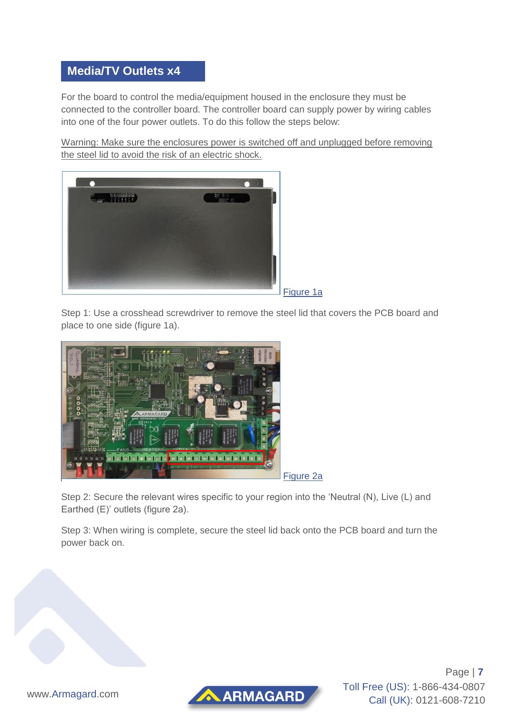#### **Media/TV Outlets x4**

For the board to control the media/equipment housed in the enclosure they must be connected to the controller board. The controller board can supply power by wiring cables into one of the four power outlets. To do this follow the steps below:

Warning: Make sure the enclosures power is switched off and unplugged before removing the steel lid to avoid the risk of an electric shock.



Figure 1a

Step 1: Use a crosshead screwdriver to remove the steel lid that covers the PCB board and place to one side (figure 1a).



Figure 2a

Step 2: Secure the relevant wires specific to your region into the 'Neutral (N), Live (L) and Earthed (E)' outlets (figure 2a).

Step 3: When wiring is complete, secure the steel lid back onto the PCB board and turn the power back on.





Page | **7** Toll Free (US): 1-866-434-0807 Call (UK): 0121-608-7210